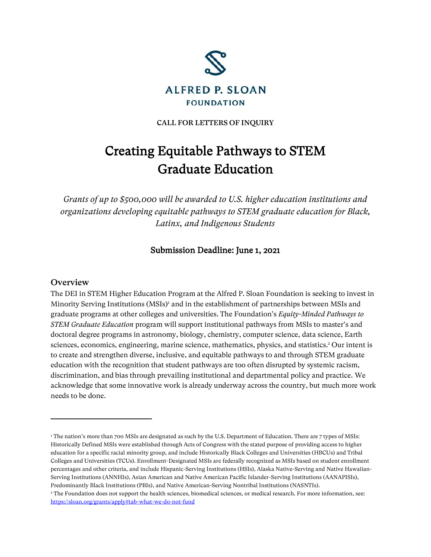

CALL FOR LETTERS OF INQUIRY

# Creating Equitable Pathways to STEM Graduate Education

*Grants of up to \$500,000 will be awarded to U.S. higher education institutions and organizations developing equitable pathways to STEM graduate education for Black, Latinx, and Indigenous Students*

## Submission Deadline: June 1, 2021

#### **Overview**

The DEI in STEM Higher Education Program at the Alfred P. Sloan Foundation is seeking to invest in Minority Serving Institutions (MSIs)<sup>1</sup> and in the establishment of partnerships between MSIs and graduate programs at other colleges and universities. The Foundation's *Equity-Minded Pathways to STEM Graduate Education* program will support institutional pathways from MSIs to master's and doctoral degree programs in astronomy, biology, chemistry, computer science, data science, Earth sciences, economics, engineering, marine science, mathematics, physics, and statistics. <sup>2</sup> Our intent is to create and strengthen diverse, inclusive, and equitable pathways to and through STEM graduate education with the recognition that student pathways are too often disrupted by systemic racism, discrimination, and bias through prevailing institutional and departmental policy and practice. We acknowledge that some innovative work is already underway across the country, but much more work needs to be done.

<sup>&</sup>lt;sup>1</sup> The nation's more than 700 MSIs are designated as such by the U.S. Department of Education. There are 7 types of MSIs: Historically Defined MSIs were established through Acts of Congress with the stated purpose of providing access to higher education for a specific racial minority group, and include Historically Black Colleges and Universities (HBCUs) and Tribal Colleges and Universities (TCUs). Enrollment-Designated MSIs are federally recognized as MSIs based on student enrollment percentages and other criteria, and include Hispanic-Serving Institutions (HSIs), Alaska Native-Serving and Native Hawaiian-Serving Institutions (ANNHIs), Asian American and Native American Pacific Islander-Serving Institutions (AANAPISIs), Predominantly Black Institutions (PBIs), and Native American-Serving Nontribal Institutions (NASNTIs).

<sup>2</sup> The Foundation does not support the health sciences, biomedical sciences, or medical research. For more information, see: <https://sloan.org/grants/apply#tab-what-we-do-not-fund>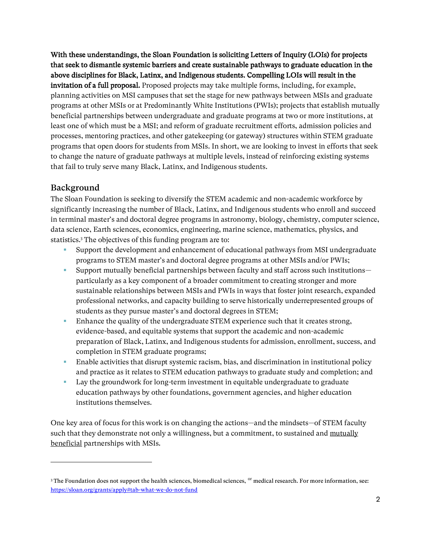With these understandings, the Sloan Foundation is soliciting Letters of Inquiry (LOIs) for projects that seek to dismantle systemic barriers and create sustainable pathways to graduate education in the above disciplines for Black, Latinx, and Indigenous students. Compelling LOIs will result in the invitation of a full proposal. Proposed projects may take multiple forms, including, for example, planning activities on MSI campuses that set the stage for new pathways between MSIs and graduate programs at other MSIs or at Predominantly White Institutions (PWIs); projects that establish mutually beneficial partnerships between undergraduate and graduate programs at two or more institutions, at least one of which must be a MSI; and reform of graduate recruitment efforts, admission policies and processes, mentoring practices, and other gatekeeping (or gateway) structures within STEM graduate programs that open doors for students from MSIs. In short, we are looking to invest in efforts that seek to change the nature of graduate pathways at multiple levels, instead of reinforcing existing systems that fail to truly serve many Black, Latinx, and Indigenous students.

## Background

The Sloan Foundation is seeking to diversify the STEM academic and non-academic workforce by significantly increasing the number of Black, Latinx, and Indigenous students who enroll and succeed in terminal master's and doctoral degree programs in astronomy, biology, chemistry, computer science, data science, Earth sciences, economics, engineering, marine science, mathematics, physics, and statistics.<sup>3</sup> The objectives of this funding program are to:

- Support the development and enhancement of educational pathways from MSI undergraduate programs to STEM master's and doctoral degree programs at other MSIs and/or PWIs;
- Support mutually beneficial partnerships between faculty and staff across such institutionsparticularly as a key component of a broader commitment to creating stronger and more sustainable relationships between MSIs and PWIs in ways that foster joint research, expanded professional networks, and capacity building to serve historically underrepresented groups of students as they pursue master's and doctoral degrees in STEM;
- Enhance the quality of the undergraduate STEM experience such that it creates strong, evidence-based, and equitable systems that support the academic and non-academic preparation of Black, Latinx, and Indigenous students for admission, enrollment, success, and completion in STEM graduate programs;
- Enable activities that disrupt systemic racism, bias, and discrimination in institutional policy and practice as it relates to STEM education pathways to graduate study and completion; and
- Lay the groundwork for long-term investment in equitable undergraduate to graduate education pathways by other foundations, government agencies, and higher education institutions themselves.

One key area of focus for this work is on changing the actions—and the mindsets—of STEM faculty such that they demonstrate not only a willingness, but a commitment, to sustained and mutually beneficial partnerships with MSIs.

<sup>&</sup>lt;sup>3</sup> The Foundation does not support the health sciences, biomedical sciences, <sup>or</sup> medical research. For more information, see: <https://sloan.org/grants/apply#tab-what-we-do-not-fund>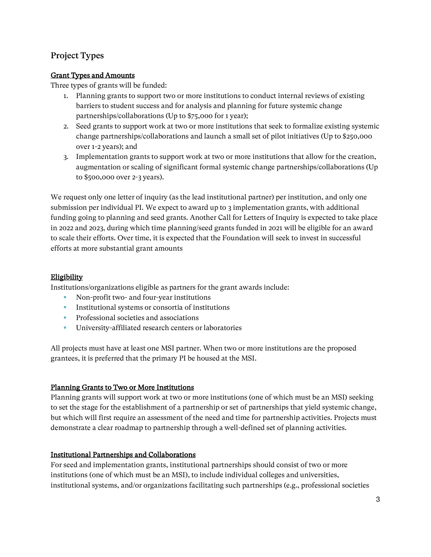# Project Types

## Grant Types and Amounts

Three types of grants will be funded:

- 1. Planning grants to support two or more institutions to conduct internal reviews of existing barriers to student success and for analysis and planning for future systemic change partnerships/collaborations (Up to \$75,000 for 1 year);
- 2. Seed grants to support work at two or more institutions that seek to formalize existing systemic change partnerships/collaborations and launch a small set of pilot initiatives (Up to \$250,000 over 1-2 years); and
- 3. Implementation grants to support work at two or more institutions that allow for the creation, augmentation or scaling of significant formal systemic change partnerships/collaborations (Up to \$500,000 over 2-3 years).

We request only one letter of inquiry (as the lead institutional partner) per institution, and only one submission per individual PI. We expect to award up to 3 implementation grants, with additional funding going to planning and seed grants. Another Call for Letters of Inquiry is expected to take place in 2022 and 2023, during which time planning/seed grants funded in 2021 will be eligible for an award to scale their efforts. Over time, it is expected that the Foundation will seek to invest in successful efforts at more substantial grant amounts

#### **Eligibility**

Institutions/organizations eligible as partners for the grant awards include:

- Non-profit two- and four-year institutions
- **•** Institutional systems or consortia of institutions
- **•** Professional societies and associations
- **EXECUTE:** University-affiliated research centers or laboratories

All projects must have at least one MSI partner. When two or more institutions are the proposed grantees, it is preferred that the primary PI be housed at the MSI.

#### Planning Grants to Two or More Institutions

Planning grants will support work at two or more institutions (one of which must be an MSI) seeking to set the stage for the establishment of a partnership or set of partnerships that yield systemic change, but which will first require an assessment of the need and time for partnership activities. Projects must demonstrate a clear roadmap to partnership through a well-defined set of planning activities.

#### Institutional Partnerships and Collaborations

For seed and implementation grants, institutional partnerships should consist of two or more institutions (one of which must be an MSI), to include individual colleges and universities, institutional systems, and/or organizations facilitating such partnerships (e.g., professional societies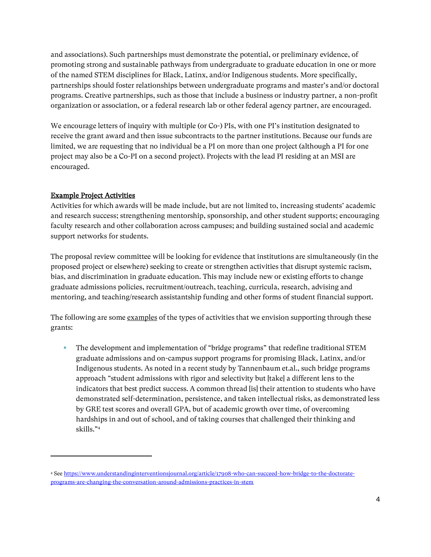and associations). Such partnerships must demonstrate the potential, or preliminary evidence, of promoting strong and sustainable pathways from undergraduate to graduate education in one or more of the named STEM disciplines for Black, Latinx, and/or Indigenous students. More specifically, partnerships should foster relationships between undergraduate programs and master's and/or doctoral programs. Creative partnerships, such as those that include a business or industry partner, a non-profit organization or association, or a federal research lab or other federal agency partner, are encouraged.

We encourage letters of inquiry with multiple (or Co-) PIs, with one PI's institution designated to receive the grant award and then issue subcontracts to the partner institutions. Because our funds are limited, we are requesting that no individual be a PI on more than one project (although a PI for one project may also be a Co-PI on a second project). Projects with the lead PI residing at an MSI are encouraged.

#### Example Project Activities

Activities for which awards will be made include, but are not limited to, increasing students' academic and research success; strengthening mentorship, sponsorship, and other student supports; encouraging faculty research and other collaboration across campuses; and building sustained social and academic support networks for students.

The proposal review committee will be looking for evidence that institutions are simultaneously (in the proposed project or elsewhere) seeking to create or strengthen activities that disrupt systemic racism, bias, and discrimination in graduate education. This may include new or existing efforts to change graduate admissions policies, recruitment/outreach, teaching, curricula, research, advising and mentoring, and teaching/research assistantship funding and other forms of student financial support.

The following are some examples of the types of activities that we envision supporting through these grants:

▪ The development and implementation of "bridge programs" that redefine traditional STEM graduate admissions and on-campus support programs for promising Black, Latinx, and/or Indigenous students. As noted in a recent study by Tannenbaum et.al., such bridge programs approach "student admissions with rigor and selectivity but [take] a different lens to the indicators that best predict success. A common thread [is] their attention to students who have demonstrated self-determination, persistence, and taken intellectual risks, as demonstrated less by GRE test scores and overall GPA, but of academic growth over time, of overcoming hardships in and out of school, and of taking courses that challenged their thinking and skills."<sup>4</sup>

<sup>4</sup> See [https://www.understandinginterventionsjournal.org/article/17908-who-can-succeed-how-bridge-to-the-doctorate](https://www.understandinginterventionsjournal.org/article/17908-who-can-succeed-how-bridge-to-the-doctorate-programs-are-changing-the-conversation-around-admissions-practices-in-stem)[programs-are-changing-the-conversation-around-admissions-practices-in-stem](https://www.understandinginterventionsjournal.org/article/17908-who-can-succeed-how-bridge-to-the-doctorate-programs-are-changing-the-conversation-around-admissions-practices-in-stem)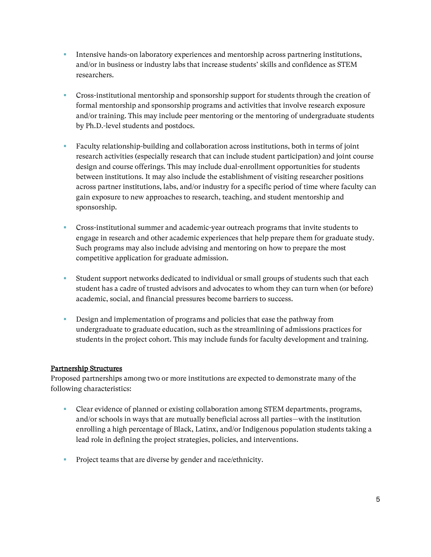- **Intensive hands-on laboratory experiences and mentorship across partnering institutions,** and/or in business or industry labs that increase students' skills and confidence as STEM researchers.
- Cross-institutional mentorship and sponsorship support for students through the creation of formal mentorship and sponsorship programs and activities that involve research exposure and/or training. This may include peer mentoring or the mentoring of undergraduate students by Ph.D.-level students and postdocs.
- Faculty relationship-building and collaboration across institutions, both in terms of joint research activities (especially research that can include student participation) and joint course design and course offerings. This may include dual-enrollment opportunities for students between institutions. It may also include the establishment of visiting researcher positions across partner institutions, labs, and/or industry for a specific period of time where faculty can gain exposure to new approaches to research, teaching, and student mentorship and sponsorship.
- Cross-institutional summer and academic-year outreach programs that invite students to engage in research and other academic experiences that help prepare them for graduate study. Such programs may also include advising and mentoring on how to prepare the most competitive application for graduate admission.
- Student support networks dedicated to individual or small groups of students such that each student has a cadre of trusted advisors and advocates to whom they can turn when (or before) academic, social, and financial pressures become barriers to success.
- **EXECUTE:** Design and implementation of programs and policies that ease the pathway from undergraduate to graduate education, such as the streamlining of admissions practices for students in the project cohort. This may include funds for faculty development and training.

#### Partnership Structures

Proposed partnerships among two or more institutions are expected to demonstrate many of the following characteristics:

- Clear evidence of planned or existing collaboration among STEM departments, programs, and/or schools in ways that are mutually beneficial across all parties—with the institution enrolling a high percentage of Black, Latinx, and/or Indigenous population students taking a lead role in defining the project strategies, policies, and interventions.
- **•** Project teams that are diverse by gender and race/ethnicity.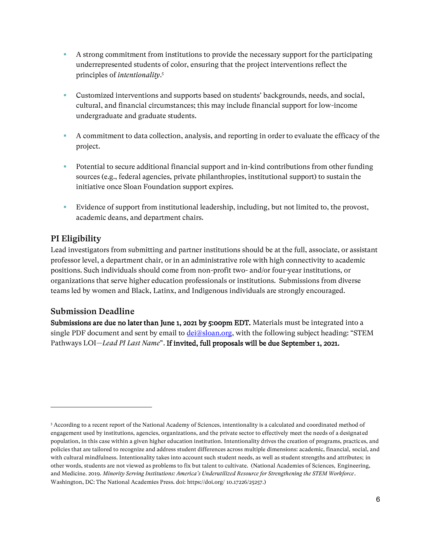- A strong commitment from institutions to provide the necessary support for the participating underrepresented students of color, ensuring that the project interventions reflect the principles of *intentionality*. 5
- **•** Customized interventions and supports based on students' backgrounds, needs, and social, cultural, and financial circumstances; this may include financial support for low-income undergraduate and graduate students.
- A commitment to data collection, analysis, and reporting in order to evaluate the efficacy of the project.
- Potential to secure additional financial support and in-kind contributions from other funding sources (e.g., federal agencies, private philanthropies, institutional support) to sustain the initiative once Sloan Foundation support expires.
- Evidence of support from institutional leadership, including, but not limited to, the provost, academic deans, and department chairs.

# PI Eligibility

Lead investigators from submitting and partner institutions should be at the full, associate, or assistant professor level, a department chair, or in an administrative role with high connectivity to academic positions. Such individuals should come from non-profit two- and/or four-year institutions, or organizations that serve higher education professionals or institutions. Submissions from diverse teams led by women and Black, Latinx, and Indigenous individuals are strongly encouraged.

## Submission Deadline

Submissions are due no later than June 1, 2021 by 5:00pm EDT. Materials must be integrated into a single PDF document and sent by email to *dei*@sloan.org, with the following subject heading: "STEM Pathways LOI—*Lead PI Last Name*". If invited, full proposals will be due September 1, 2021.

<sup>5</sup> According to a recent report of the National Academy of Sciences, intentionality is a calculated and coordinated method of engagement used by institutions, agencies, organizations, and the private sector to effectively meet the needs of a designated population, in this case within a given higher education institution. Intentionality drives the creation of programs, practices, and policies that are tailored to recognize and address student differences across multiple dimensions: academic, financial, social, and with cultural mindfulness. Intentionality takes into account such student needs, as well as student strengths and attributes; in other words, students are not viewed as problems to fix but talent to cultivate. (National Academies of Sciences, Engineering, and Medicine. 2019. *Minority Serving Institutions: America's Underutilized Resource for Strengthening the STEM Workforce*. Washington, DC: The National Academies Press. doi: https://doi.org/ 10.17226/25257.)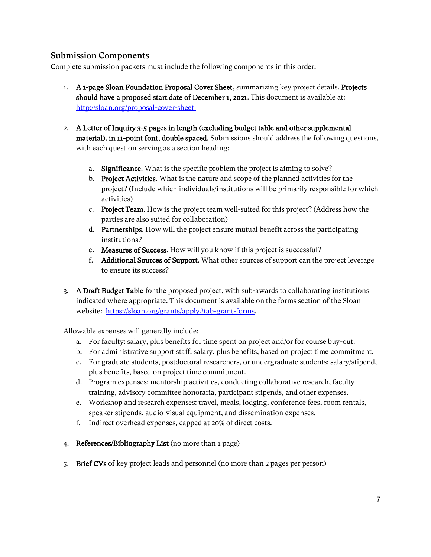## Submission Components

Complete submission packets must include the following components in this order:

- 1. A 1-page Sloan Foundation Proposal Cover Sheet, summarizing key project details. Projects should have a proposed start date of December 1, 2021. This document is available at: <http://sloan.org/proposal-cover-sheet>
- 2. A Letter of Inquiry 3-5 pages in length (excluding budget table and other supplemental material), in 11-point font, double spaced. Submissions should address the following questions, with each question serving as a section heading:
	- a. Significance. What is the specific problem the project is aiming to solve?
	- b. Project Activities. What is the nature and scope of the planned activities for the project? (Include which individuals/institutions will be primarily responsible for which activities)
	- c. Project Team. How is the project team well-suited for this project? (Address how the parties are also suited for collaboration)
	- d. Partnerships. How will the project ensure mutual benefit across the participating institutions?
	- e. Measures of Success. How will you know if this project is successful?
	- f. Additional Sources of Support. What other sources of support can the project leverage to ensure its success?
- 3. A Draft Budget Table for the proposed project, with sub-awards to collaborating institutions indicated where appropriate. This document is available on the forms section of the Sloan website: [https://sloan.org/grants/apply#tab-grant-forms.](https://sloan.org/grants/apply#tab-grant-forms)

Allowable expenses will generally include:

- a. For faculty: salary, plus benefits for time spent on project and/or for course buy-out.
- b. For administrative support staff: salary, plus benefits, based on project time commitment.
- c. For graduate students, postdoctoral researchers, or undergraduate students: salary/stipend, plus benefits, based on project time commitment.
- d. Program expenses: mentorship activities, conducting collaborative research, faculty training, advisory committee honoraria, participant stipends, and other expenses.
- e. Workshop and research expenses: travel, meals, lodging, conference fees, room rentals, speaker stipends, audio-visual equipment, and dissemination expenses.
- f. Indirect overhead expenses, capped at 20% of direct costs.
- 4. References/Bibliography List (no more than 1 page)
- 5. Brief CVs of key project leads and personnel (no more than 2 pages per person)